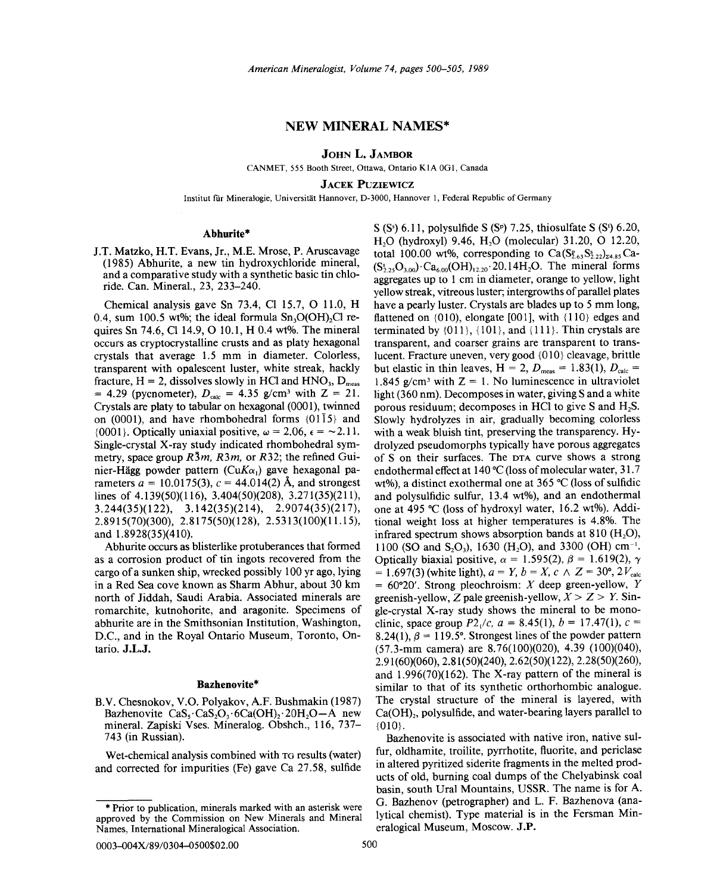## NEW MINERAL NAMES\*

JOHN L. JAMBOR

CANMET, 555 Booth Street, Ottawa, Ontario KIA OGI, Canada

JACEK PUZIEWICZ

Institut für Mineralogie, Universität Hannover, D-3000, Hannover 1, Federal Republic of Germany

### Abhurite\*

J.T. Matzko, H.T. Evans, Jr., M.E. Mrose, P. Aruscavage (1985) Abhurite, a new tin hydroxychloride mineral, and a comparative study with a synthetic basic tin chloride. Can. Mineral., 23, 233-240.

Chemical analysis gave Sn  $73.4$ , Cl 15.7, O 11.0, H 0.4, sum 100.5 wt%; the ideal formula  $Sn<sub>3</sub>O(OH)<sub>2</sub>Cl$  requires Sn 74.6, C114.9, 010.1, H 0.4 wt%. The mineral occurs as cryptocrystalline crusts and as platy hexagonal crystals that average 1.5 mm in diameter. Colorless, transparent with opalescent luster, white streak, hackly fracture,  $H = 2$ , dissolves slowly in HCl and HNO<sub>3</sub>, D<sub>meas</sub>  $= 4.29$  (pycnometer),  $D_{calc} = 4.35$  g/cm<sup>3</sup> with Z = 21. Crystals are platy to tabular on hexagonal (0001), twinned on (0001), and have rhombohedral forms  $\{01\overline{1}5\}$  and {0001}. Optically uniaxial positive,  $\omega = 2.06$ ,  $\epsilon = -2.11$ . Single-crystal X-ray study indicated rhombohedral symmetry, space group *R3m, R3m,* or *R32;* the refined Guinier-Hagg powder pattern *(CuKa,)* gave hexagonal parameters  $a = 10.0175(3)$ ,  $c = 44.014(2)$  Å, and strongest lines of 4.139(50)(116), 3.404(50)(208), 3.271(35)(211),  $3.244(35)(122)$ ,  $3.142(35)(214)$ ,  $2.9074(35)(217)$ , 2.8915(70)(300), 2.8175(50)(128), 2.5313(100)(11.15), and 1.8928(35)(410).

Abhurite occurs as blisterlike protuberances that formed as a corrosion product of tin ingots recovered from the cargo of a sunken ship, wrecked possibly 100 yr ago, lying in a Red Sea cove known as Sharm Abhur, about 30 km north of Jiddah, Saudi Arabia. Associated minerals are romarchite, kutnohorite, and aragonite. Specimens of abhurite are in the Smithsonian Institution, Washington, D.C., and in the Royal Ontario Museum, Toronto, Ontario. J.L.J.

#### Bazhenovite\*

RV. Chesnokov, V.O. Polyakov, A.F. Bushmakin (1987) Bazhenovite  $CaS_5$ ·  $CaS_2O_3$ ·  $6Ca(OH)_2$ ·  $20H_2O-A$  new mineral. Zapiski Vses. Mineralog. Obshch., 116, 737- 743 (in Russian).

Wet-chemical analysis combined with TG results (water) and corrected for impurities (Fe) gave Ca 27.58, sulfide

 $S(S<sup>s</sup>)$  6.11, polysulfide  $S(S<sup>p</sup>)$  7.25, thiosulfate  $S(S<sup>t</sup>)$  6.20 H<sub>2</sub>O (hydroxyl) 9.46, H<sub>2</sub>O (molecular) 31.20, O 12.20, total 100.00 wt%, corresponding to  $Ca(S_{2.6}^8S_{2.22}^5)_{24.85}$ Ca- $(S_{2,25}^1O_{3.00})$   $Ca_{6.00}(OH)_{12,20}$   $20.14H_2O$ . The mineral forms aggregates up to 1 cm in diameter, orange to yellow, light yellow streak, vitreous luster; intergrowths of parallel plates have a pearly luster. Crystals are blades up to 5 mm long, flattened on  $(010)$ , elongate  $[001]$ , with  $\{110\}$  edges and terminated by  $\{011\}$ ,  $\{101\}$ , and  $\{111\}$ . Thin crystals are transparent, and coarser grains are transparent to translucent. Fracture uneven, very good {O10} cleavage, brittle but elastic in thin leaves,  $H = 2$ ,  $D_{meas} = 1.83(1)$ ,  $D_{calc} =$ 1.845 g/cm<sup>3</sup> with  $Z = 1$ . No luminescence in ultraviolet light (360 nm). Decomposes in water, giving S and a white porous residuum; decomposes in HCl to give S and H<sub>2</sub>S. Slowly hydrolyzes in air, gradually becoming colorless with a weak bluish tint, preserving the transparency. Hydrolyzed pseudomorphs typically have porous aggregates of S on their surfaces. The DTA curve shows a strong endothermal effect at 140°C (loss of molecular water, 31.7 wt%), a distinct exothermal one at 365°C (loss of sulfidic and polysulfidic sulfur, 13.4 wt%), and an endothermal one at 495°C (loss of hydroxyl water, 16.2 wt%). Additional weight loss at higher temperatures is 4.8%. The infrared spectrum shows absorption bands at  $810$  (H<sub>2</sub>O), 1100 (SO and S<sub>2</sub>O<sub>3</sub>), 1630 (H<sub>2</sub>O), and 3300 (OH) cm<sup>-1</sup>. Optically biaxial positive,  $\alpha = 1.595(2)$ ,  $\beta = 1.619(2)$ ,  $\gamma$  $= 1.697(3)$  (white light),  $a = Y$ ,  $b = X$ ,  $c \wedge Z = 30^{\circ}, 2V_{\text{calc}}$ = 60°20'. Strong pleochroism: *X* deep green-yellow, *Y* greenish-yellow, *Z* pale greenish-yellow,  $X > Z > Y$ . Single-crystal X-ray study shows the mineral to be monoclinic, space group  $P2_1/c$ ,  $a = 8.45(1)$ ,  $b = 17.47(1)$ ,  $c =$ 8.24(1),  $\beta = 119.5^{\circ}$ . Strongest lines of the powder pattern (57.3-mm camera) are 8.76(100)(020), 4.39 (100)(040), 2.91 (60)(060), 2.81 (50)(240), 2.62(50)( 122), 2.28(50)(260), and 1.996(70)(162). The X-ray pattern of the mineral is similar to that of its synthetic orthorhombic analogue. The crystal structure of the mineral is layered, with  $Ca(OH)_{2}$ , polysulfide, and water-bearing layers parallel to {01O}.

Bazhenovite is associated with native iron, native sulfur, oldhamite, troilite, pyrrhotite, fluorite, and periclase in altered pyritized siderite fragments in the melted products of old, burning coal dumps of the Chelyabinsk coal basin, south Ural Mountains, USSR. The name is for A. G. Bazhenov (petrographer) and L. F. Bazhenova (analytical chemist). Type material is in the Fersman Mineralogical Museum, Moscow. J.P.

approved by the Commission on New Minerals and Mineral Prior to publication, minerals marked with an asterisk were Names, International Mineralogical Association.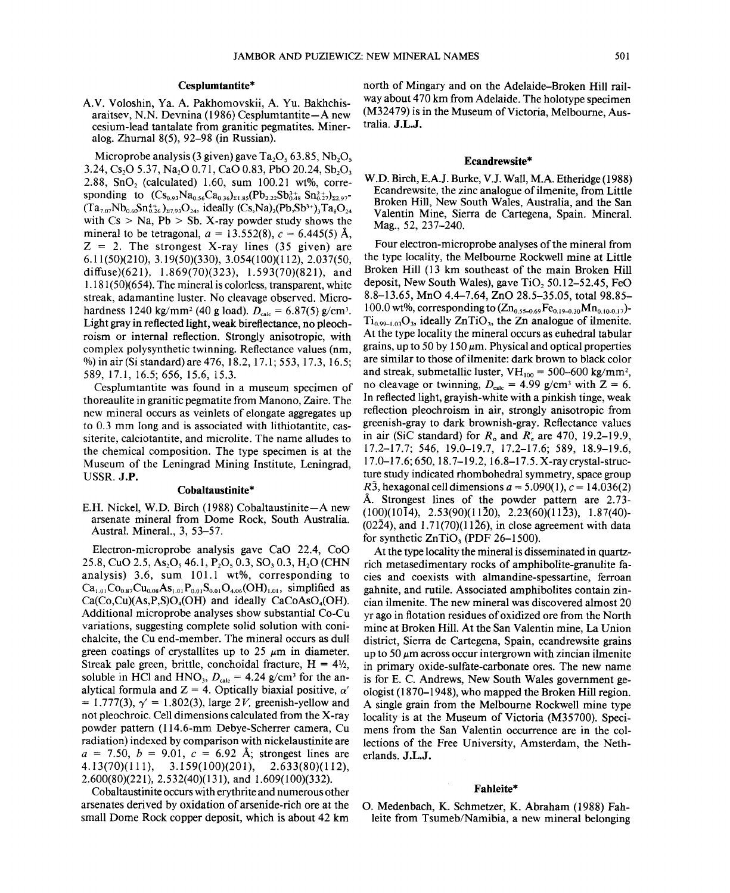### **CespIumtantite\***

A.V. Voloshin, Ya. A. Pakhomovskii, A. Yu. Bakhchisaraitsev, N.N. Devnina (1986) Cesplumtantite-A new cesium-lead tantalate from granitic pegmatites. Mineralog. Zhurnal 8(5), 92-98 (in Russian).

Microprobe analysis (3 given) gave  $Ta_2O_5$  63.85, Nb<sub>2</sub>O<sub>5</sub> 3.24, Cs<sub>2</sub>O 5.37, Na<sub>2</sub>O 0.71, CaO 0.83, PbO 20.24, Sb<sub>2</sub>O<sub>3</sub> 2.88, SnO<sub>2</sub> (calculated) 1.60, sum  $100.21$  wt%, corresponding to  $(Cs_{0.93}Na_{0.56}Ca_{0.36})_{\Sigma1.85}(Pb_{2.22}Sb_{0.48}^{3+}Sn_{0.27}^{2+})_{\Sigma2.97}$  $(Ta_{7.07}Nb_{0.66}Sn_{0.26}^{4+} )$ <sub>27.93</sub>O<sub>24</sub>, ideally  $(Cs,Na)_{2}(Pb,Sb^{3+})$ <sub>3</sub>Ta<sub>8</sub>O<sub>24</sub> with  $Cs > Na$ ,  $Pb > Sb$ . X-ray powder study shows the mineral to be tetragonal,  $a = 13.552(8)$ ,  $c = 6.445(5)$  Å,  $Z = 2$ . The strongest X-ray lines (35 given) are 6.11(50)(210),3.19(50)(330),3.054(100)(112),2.037(50, diffuse)(621), 1.869(70)(323), 1.593(70)(821), and  $1.181(50)(654)$ . The mineral is colorless, transparent, white streak, adamantine luster. No cleavage observed. Microhardness 1240 kg/mm<sup>2</sup> (40 g load).  $D_{\text{calc}} = 6.87(5)$  g/cm<sup>3</sup>. Light gray in reflected light, weak bireflectance, no pleochroism or internal reflection. Strongly anisotropic, with complex polysynthetic twinning. Reflectance values (nm, %) in air(Si standard) are 476, 18.2, 17.1; 553,17.3,16.5; 589, 17.1, 16.5; 656, 15.6, 15.3.

Cesplumtantite was found in a museum specimen of thoreaulite in granitic pegmatite from Manono, Zaire. The new mineral occurs as veinlets of elongate aggregates up to 0.3 mm long and is associated with lithiotantite, cassiterite, calciotantite, and microlite. The name alludes to the chemical composition. The type specimen is at the Museum of the Leningrad Mining Institute, Leningrad, USSR. J.P.

### **Cobaltaustinite\***

E.H. Nickel, W.D. Birch (1988) Cobaltaustinite-A new arsenate mineral from Dome Rock, South Australia. Austral. Mineral., 3, 53-57.

Electron-microprobe analysis gave CaO 22.4, CoO 25.8, CuO 2.5, As<sub>2</sub>O<sub>5</sub> 46.1, P<sub>2</sub>O<sub>5</sub> 0.3, SO<sub>3</sub> 0.3, H<sub>2</sub>O (CHN analysis) 3.6, sum  $101.1$  wt%, corresponding to  $Ca_{1.01}Co_{0.87}Cu_{0.08}As_{1.01}P_{0.01}S_{0.01}O_{4.06}(OH)_{1.01}$ , simplified as  $Ca(Co,Cu)$ (As,P,S)O<sub>4</sub>(OH) and ideally CaCoAsO<sub>4</sub>(OH). Additional microprobe analyses show substantial Co-Cu variations, suggesting complete solid solution with conichalcite, the Cu end-member. The mineral occurs as dull green coatings of crystallites up to  $25 \mu m$  in diameter. Streak pale green, brittle, conchoidal fracture,  $H = 4\frac{1}{2}$ , soluble in HCl and HNO<sub>3</sub>,  $D_{\text{calc}} = 4.24$  g/cm<sup>3</sup> for the analytical formula and  $Z = 4$ . Optically biaxial positive,  $\alpha'$  $= 1.777(3), \gamma' = 1.802(3), \text{large } 2V, \text{greenish-yellow and}$ not pleochroic. Cell dimensions calculated from the X-ray powder pattern (114.6-mm Debye-Scherrer camera, Cu radiation) indexed by comparison with nickelaustinite are  $a = 7.50, b = 9.01, c = 6.92$  Å; strongest lines are 4.13(70)(111), 3.159(100)(201), 2.633(80)(112), 2.600(80)(221), 2.532(40)(131), and 1.609(100)(332).

Cobaltaustinite occurs with erythrite and numerous other arsenates derived by oxidation of arsenide-rich ore at the small Dome Rock copper deposit, which is about 42 km

north of Mingary and on the Adelaide-Broken Hill railway about 470 km from Adelaide. The holotype specimen (M32479) is in the Museum of Victoria, Melbourne, Australia. J.L.J.

#### **Ecandrewsite\***

W.D. Birch, E.AJ. Burke, V.l. Wall, M.A. Etheridge (1988) Ecandrewsite, the zinc analogue of ilmenite, from Little Broken Hill, New South Wales, Australia, and the San Valentin Mine, Sierra de Cartegena, Spain. Mineral. Mag., 52, 237-240.

Four electron-microprobe analyses of the mineral from the type locality, the Melbourne Rockwell mine at Little Broken Hill (13 km southeast of the main Broken Hill deposit, New South Wales), gave  $TiO<sub>2</sub> 50.12-52.45$ , FeO 8.8-13.65, MnO 4.4-7.64, ZnO 28.5-35.05, total 98.85- 100.0 wt%, corresponding to  $(Zn_{0.55-0.69}Fe_{0.19-0.30}Mn_{0.10-0.17})$ - $Ti_{0.99-1.03}O_3$ , ideally ZnTiO<sub>3</sub>, the Zn analogue of ilmenite. At the type locality the mineral occurs as euhedral tabular grains, up to 50 by 150  $\mu$ m. Physical and optical properties are similar to those of ilmenite: dark brown to black color and streak, submetallic luster,  $VH_{100} = 500-600$  kg/mm<sup>2</sup>, no cleavage or twinning,  $D_{\text{calc}} = 4.99 \text{ g/cm}^3$  with  $Z = 6$ . In reflected light, grayish-white with a pinkish tinge, weak reflection pleochroism in air, strongly anisotropic from greenish-gray to dark brownish-gray. Reflectance values in air (SiC standard) for *R*<sub>o</sub> and *R*<sub>i</sub> are 470, 19.2-19.9, 17.2-17.7; 546, 19.0-19.7, 17.2-17.6; 589, 18.9-19.6, 17.0-17.6; 650, 18.7-19.2, 16.8-17.5. X-ray crystal-structure study indicated rhombohedral symmetry, space group *R*3, hexagonal cell dimensions  $a = 5.090(1)$ ,  $c = 14.036(2)$ A. Strongest lines of the powder pattern are 2.73- (100)(1014), 2.53(90)(1120), 2.23(60)(1123), 1.87(40)-  $(02\overline{2}4)$ , and 1.71(70)(11 $\overline{2}6$ ), in close agreement with data for synthetic  $ZnTiO<sub>3</sub>$  (PDF 26-1500).

At the type locality the mineral is disseminated in quartzrich metasedimentary rocks of amphibolite-granulite facies and coexists with almandine-spessartine, ferroan gahnite, and rutile. Associated amphibolites contain zincian ilmenite. The new mineral was discovered almost 20 yr ago in flotation residues of oxidized ore from the North mine at Broken Hill. At the San Valentin mine, La Union district, Sierra de Cartegena, Spain, ecandrewsite grains up to 50  $\mu$ m across occur intergrown with zincian ilmenite in primary oxide-sulfate-carbonate ores. The new name is for E. C. Andrews, New South Wales government geologist (1870-1948), who mapped the Broken Hill region. A single grain from the Melbourne Rockwell mine type locality is at the Museum of Victoria (M35700). Specimens from the San Valentin occurrence are in the collections of the Free University, Amsterdam, the Netherlands. J.L.J.

#### **Fahleite\***

O. Medenbach, K. Schmetzer, K. Abraham (1988) Fahleite from Tsumeb/Namibia, a new mineral belonging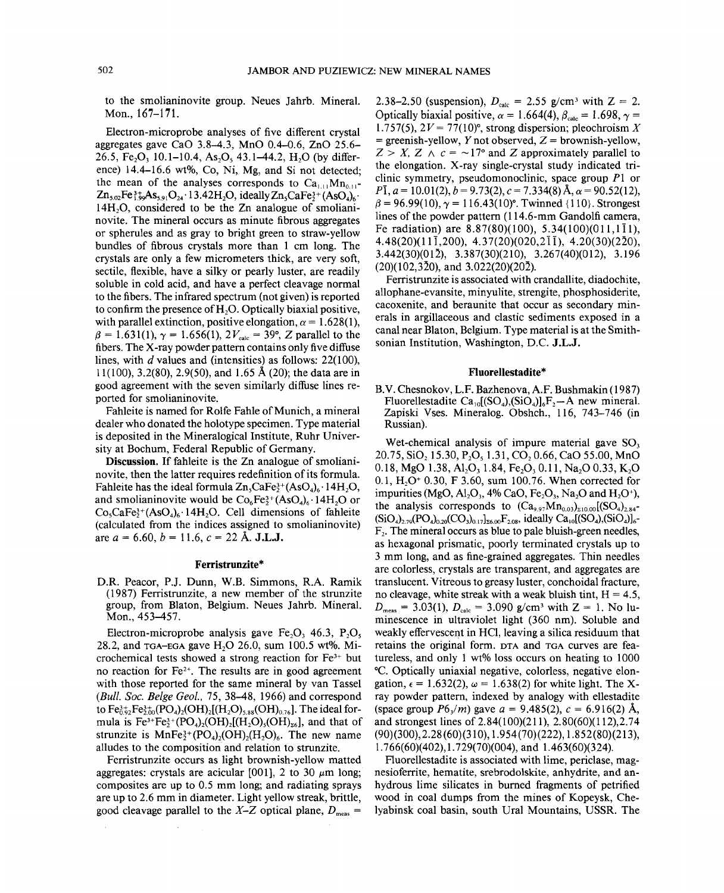to the smolianinovite group. Neues Jahrb. Mineral. Mon., 167-171.

Electron-microprobe analyses of five different crystal aggregates gave CaO 3.8-4.3, MnO 0.4-0.6, ZnO 25.6- 26.5, Fe<sub>2</sub>O<sub>3</sub> 10.1-10.4, As<sub>2</sub>O<sub>3</sub> 43.1-44.2, H<sub>2</sub>O (by difference) 14.4–16.6 wt%, Co, Ni, Mg, and Si not detected: the mean of the analyses corresponds to  $Ca<sub>111</sub>Mn<sub>011</sub>$ - $Zn_{5.02}Fe^{3+}_{1.99}As_{5.91}O_{24}$  '13.42H<sub>2</sub>O, ideally  $Zn_{5}CaFe^{3+}(AsO_{4})_{6}$  $14H<sub>2</sub>O$ , considered to be the Zn analogue of smolianinovite. The mineral occurs as minute fibrous aggregates or spherules and as gray to bright green to straw-yellow bundles of fibrous crystals more than 1 cm long. The crystals are only a few micrometers thick, are very soft, sectile, flexible, have a silky or pearly luster, are readily soluble in cold acid, and have a perfect cleavage normal to the fibers. The infrared spectrum (not given) is reported to confirm the presence of  $H<sub>2</sub>O$ . Optically biaxial positive, with parallel extinction, positive elongation,  $\alpha = 1.628(1)$ ,  $\beta = 1.631(1), \gamma = 1.656(1), 2V_{\text{calc}} = 39^{\circ}, Z$  parallel to the fibers. The X-ray powder pattern contains only five diffuse lines, with *d* values and (intensities) as follows; 22(100), 11(100),3.2(80),2.9(50), and 1.65 A (20); the data are in good agreement with the seven similarly diffuse lines reported for smolianinovite.

Fahleite is named for Rolfe Fahle of Munich, a mineral dealer who donated the ho10type specimen. Type material is deposited in the Mineralogical Institute, Ruhr University at Bochum, Federal Republic of Germany.

Discussion. If fahleite is the Zn analogue of smolianinovite, then the latter requires redefinition of its formula. Fahleite has the ideal formula  $Zn_sCaFe^{3+}(AsO_4)_6 \cdot 14H_2O$ , and smolianinovite would be  $Co<sub>6</sub>Fe<sub>3</sub><sup>3+</sup> (AsO<sub>4</sub>)<sub>6</sub>·14H<sub>2</sub>O$  or  $Co_5CaFe^{3+}(AsO_4)_6$  14H<sub>2</sub>O. Cell dimensions of fahleite (calculated from the indices assigned to smolianinovite) are  $a = 6.60, b = 11.6, c = 22 \text{ Å}.$  **J.L.J.** 

### Ferristrunzite\*

D.R. Peacor, PJ. Dunn, W.B. Simmons, R.A. Ramik (1987) Ferristrunzite, a new member of the strunzite group, from Blaton, Belgium. Neues Jahrb. Mineral. Mon., 453-457.

Electron-microprobe analysis gave Fe<sub>2</sub>O<sub>3</sub> 46.3, P<sub>2</sub>O<sub>5</sub> 28.2, and  $TGA-EGA$  gave  $H_2O$  26.0, sum 100.5 wt%. Microchemical tests showed a strong reaction for  $Fe<sup>3+</sup>$  but no reaction for  $Fe<sup>2+</sup>$ . The results are in good agreement with those reported for the same mineral by van Tassel *(Bull. Soc. Beige Geol.,* 75,38-48, 1966) and correspond to  $Fe_{0.92}^{3+}Fe_{2.00}^{3+}(PO_4)_2(OH)_2[(H_2O)_{5.88}(OH)_{0.76}]$ . The ideal formula is  $Fe^{3+}Fe_2^{3+}(PO_4)_2(OH)_2[(H_2O)_5(OH)_{26}]$ , and that of strunzite is  $MnFe<sub>2</sub><sup>3+</sup>(PO<sub>4</sub>)<sub>2</sub>(OH)<sub>2</sub>(H<sub>2</sub>O)<sub>6</sub>$ . The new name alludes to the composition and relation to strunzite.

Ferristrunzite occurs as light brownish-yellow matted aggregates: crystals are acicular [001], 2 to 30  $\mu$ m long; composites are up to 0.5 mm long; and radiating sprays are up to 2.6 mm in diameter. Light yellow streak, brittle, good cleavage parallel to the *X*-*Z* optical plane,  $D_{\text{meas}}$  =

2.38-2.50 (suspension),  $D_{\text{calc}} = 2.55 \text{ g/cm}^3 \text{ with } Z = 2$ . Optically biaxial positive,  $\alpha = 1.664(4)$ ,  $\beta_{\text{calc}} = 1.698$ ,  $\gamma =$ 1.757(5),  $2V = 77(10)^\circ$ , strong dispersion; pleochroism X  $=$  greenish-yellow, Y not observed, Z = brownish-yellow,  $Z > X$ ,  $Z \wedge c = -17$ ° and Z approximately parallel to the elongation. X-ray single-crystal study indicated triclinic symmetry, pseudomonoclinic, space group *PI* or  $P\bar{1}$ ,  $a = 10.01(2)$ ,  $b = 9.73(2)$ ,  $c = 7.334(8)$  Å,  $\alpha = 90.52(12)$ ,  $\beta$  = 96.99(10),  $\gamma$  = 116.43(10)<sup>o</sup>. Twinned {110}. Strongest lines of the powder pattern (114.6-mm Gandolfi camera, Fe radiation) are  $8.87(80)(100)$ ,  $5.34(100)(011,1\overline{1}1)$ ,  $4.48(20)(11\overline{1},200)$ ,  $4.37(20)(020,2\overline{1}\overline{1})$ ,  $4.20(30)(2\overline{2}0)$ , 3.442(30)(012), 3.387(30)(210), 3.267(40)(012), 3.196  $(20)(102,320)$ , and  $3.022(20)(202)$ .

Ferristrunzite is associated with crandallite, diadochite, allophane-evansite, minyulite, strengite, phosphosiderite, cacoxenite, and beraunite that occur as secondary minerals in argillaceous and clastic sediments exposed in a canal near Blaton, Belgium. Type material is at the Smithsonian Institution, Washington, D.C. J.L.J.

### Fluorellestadite\*

B.V. Chesnokov, L.P. Bazhenova,A.F. Bushmakin(1987) Fluorellestadite Ca<sub>10</sub>[(SO<sub>4</sub>),(SiO<sub>4</sub>)]<sub>6</sub>F<sub>2</sub>-A new mineral. Zapiski Vses. Mineralog. Obshch., 116, 743-746 (in Russian).

Wet-chemical analysis of impure material gave  $SO<sub>3</sub>$ 20.75, SiO<sub>2</sub> 15.30, P<sub>2</sub>O<sub>5</sub> 1.31, CO<sub>2</sub> 0.66, CaO 55.00, MnO 0.18, MgO 1.38, Al<sub>2</sub>O<sub>3</sub> 1.84, Fe<sub>2</sub>O<sub>3</sub> 0.11, Na<sub>2</sub>O 0.33, K<sub>2</sub>O 0.1,  $H_2O^+$  0.30, F 3.60, sum 100.76. When corrected for impurities (MgO, Al<sub>2</sub>O<sub>3</sub>, 4% CaO, Fe<sub>2</sub>O<sub>3</sub>, Na<sub>2</sub>O and H<sub>2</sub>O<sup>+</sup>), the analysis corresponds to  $(Ca_{9.97}Mn_{0.03})_{\text{210.00}}[(SO_4)_{\text{2.84}}]$  $(SiO_4)_{2.79} (PO_4)_{0.20} (CO_3)_{0.17}$ <sub>2.08</sub>, ideally  $Ca_{10} [(SO_4) (SiO_4)]_6$ - $F<sub>2</sub>$ . The mineral occurs as blue to pale bluish-green needles, as hexagonal prismatic, poorly terminated crystals up to 3 mm long, and as fine-grained aggregates. Thin needles are colorless, crystals are transparent, and aggregates are translucent. Vitreous to greasy luster, conchoidal fracture, no cleavage, white streak with a weak bluish tint,  $H = 4.5$ ,  $D_{\text{meas}} = 3.03(1), D_{\text{calc}} = 3.090 \text{ g/cm}^3 \text{ with } Z = 1. \text{ No lu-}$ minescence in ultraviolet light (360 nm). Soluble and weakly effervescent in HCl, leaving a silica residuum that retains the original form. DTA and TGA curves are featureless, and only 1 wt% loss occurs on heating to 1000 0c. Optically uniaxial negative, colorless, negative elongation,  $\epsilon = 1.632(2)$ ,  $\omega = 1.638(2)$  for white light. The Xray powder pattern, indexed by analogy with ellestadite (space group  $P6\sqrt{m}$ ) gave  $a = 9.485(2)$ ,  $c = 6.916(2)$  Å, and strongest lines of 2.84(100)(211), 2.80(60)(112),2.74  $(90)(300), 2.28(60)(310), 1.954(70)(222), 1.852(80)(213),$ 1.766(60)(402),1.729(70)(004), and 1.463(60)(324).

Fluorellestadite is associated with lime, periclase, magnesioferrite, hematite, srebrodolskite, anhydrite, and anhydrous lime silicates in burned fragments of petrified wood in coal dumps from the mines of Kopeysk, Chelyabinsk coal basin, south Ural Mountains, USSR. The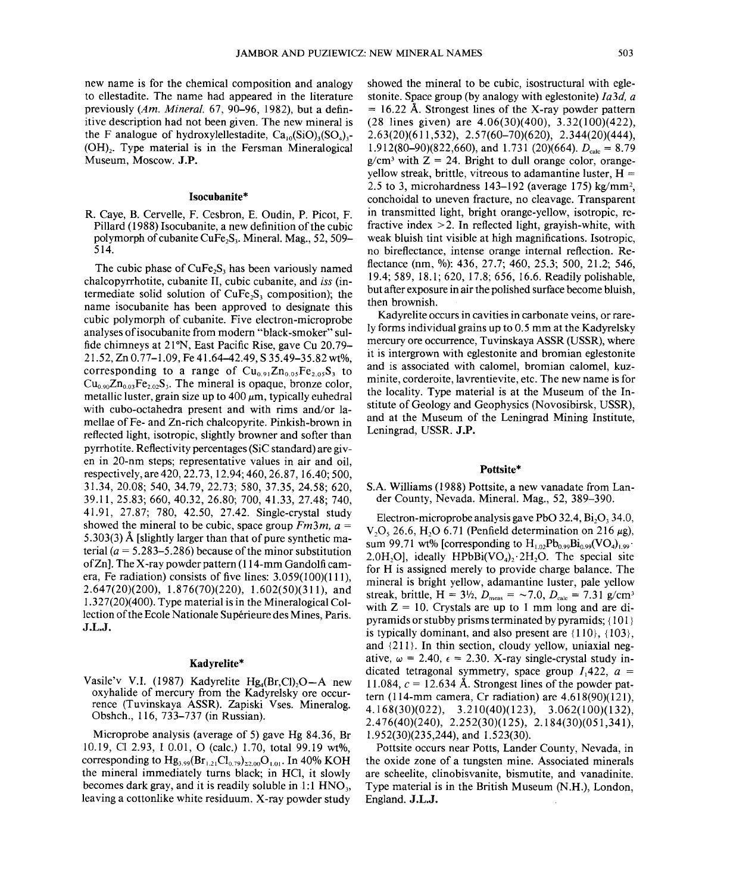new name is for the chemical composition and analogy to ellestadite. The name had appeared in the literature previously *(Am. Mineral.* 67, 90-96, 1982), but a definitive description had not been given. The new mineral is the F analogue of hydroxylellestadite,  $Ca<sub>10</sub>(SiO)<sub>2</sub>(SO<sub>4</sub>)$ <sub>2</sub>  $(OH)_{2}$ . Type material is in the Fersman Mineralogical Museum, Moscow. J.P.

## Isocubanite\*

R. Caye, B. Cervelle, F. Cesbron, E. Oudin, P. Picot, F. Pillard (1988) Isocubanite, a new definition of the cubic polymorph of cubanite CuFe<sub>2</sub>S<sub>3</sub>. Mineral. Mag.,  $52, 509-$ 514.

The cubic phase of  $CuFe<sub>2</sub>S<sub>3</sub>$  has been variously named chalcopyrrhotite, cubanite II, cubic cubanite, and *iss* (intermediate solid solution of  $CuFe<sub>2</sub>S<sub>3</sub>$  composition); the name isocubanite has been approved to designate this cubic polymorph of cubanite. Five electron-microprobe analyses of isocubanite from modern "black-smoker" sulfide chimneys at 21°N, East Pacific Rise, gave Cu 20.79- 21.52, Zn 0.77-1.09, Fe 41.64-42.49, S 35.49-35.82 wt%, corresponding to a range of  $Cu_{0.91}Zn_{0.05}Fe_{2.05}S_3$  to  $Cu<sub>0.90</sub>Zn<sub>0.03</sub>Fe<sub>2.02</sub>S<sub>3</sub>$ . The mineral is opaque, bronze color, metallic luster, grain size up to  $400 \mu m$ , typically euhedral with cubo-octahedra present and with rims and/or lamellae of Fe- and Zn-rich chalcopyrite. Pinkish-brown in reflected light, isotropic, slightly browner and softer than pyrrhotite. Reflectivity percentages (SiC standard) are given in 20-nm steps; representative values in air and oil, respectively, are 420,22.73, 12.94; 460, 26.87, 16.40; 500, 31.34, 20.08; 540, 34.79, 22.73; 580, 37.35, 24.58; 620, 39.11,25.83; 660, 40.32, 26.80; 700, 41.33, 27.48; 740, 41.91, 27.87; 780, 42.50, 27.42. Single-crystal study showed the mineral to be cubic, space group *Fm3m, a =* 5.303(3) A [slightly larger than that of pure synthetic material  $(a = 5.283 - 5.286)$  because of the minor substitution ofZn]. The X-ray powder pattern (114-mm Gandolficamera, Fe radiation) consists of five lines: 3.059(100)(111), 2.647(20)(200), 1.876(70)(220), 1.602(50)(311), and 1.327(20)(400). Type material is in the Mineralogical Collection of the Ecole Nationale Supérieure des Mines, Paris. J.L.J.

#### Kadyrelite\*

Vasile'v V.I. (1987) Kadyrelite Hg<sub>a</sub>(Br,Cl)<sub>2</sub>O-A new oxyhalide of mercury from the Kadyrelsky ore occurrence (Tuvinskaya ASSR). Zapiski Vses. Mineralog. Obshch., 116,733-737 (in Russian).

Microprobe analysis (average of 5) gave Hg 84.36, Br 10.19, Cl 2.93, 10.01, 0 (calc.) 1.70, total 99.19 wt%, corresponding to  $Hg_{3,99}(Br_{1,21}Cl_{0,79})_{22,00}O_{1,01}$ . In 40% KOH the mineral immediately turns black; in HCl, it slowly becomes dark gray, and it is readily soluble in  $1:1$  HNO<sub>3</sub>, leaving a cottonlike white residuum. X-ray powder study

showed the mineral to be cubic, isostructural with eglestonite. Space group (by analogy with eglestonite) *fa3d, a*  $= 16.22$  Å. Strongest lines of the X-ray powder pattern (28 lines given) are 4.06(30)(400), 3.32(100)(422), 2.63(20)(611,532), 2.57(60-70)(620), 2.344(20)(444), 1.912(80–90)(822,660), and 1.731 (20)(664).  $D_{\text{calc}} = 8.79$  $g/cm<sup>3</sup>$  with  $Z = 24$ . Bright to dull orange color, orangeyellow streak, brittle, vitreous to adamantine luster,  $H =$ 2.5 to 3, microhardness  $143-192$  (average 175) kg/mm<sup>2</sup>, conchoidal to uneven fracture, no cleavage. Transparent in transmitted light, bright orange-yellow, isotropic, refractive index  $>2$ . In reflected light, grayish-white, with weak bluish tint visible at high magnifications. Isotropic, no bireflectance, intense orange internal reflection. Reflectance (nm, %): 436, 27.7; 460, 25.3; 500, 21.2; 546, 19.4; 589, 18.1; 620, 17.8; 656, 16.6. Readily polishable, but after exposure in air the polished surface become bluish, then brownish.

Kadyrelite occurs in cavities in carbonate veins, or rarely forms individual grains up to 0.5 mm at the Kadyrelsky mercury ore occurrence, Tuvinskaya ASSR (USSR), where it is intergrown with eglestonite and bromian eglestonite and is associated with calomel, bromian calomel, kuzminite, corderoite, lavrentievite, etc. The new name is for the locality. Type material is at the Museum of the Institute of Geology and Geophysics (Novosibirsk, USSR), and at the Museum of the Leningrad Mining Institute, Leningrad, USSR. J.P.

#### Pottsite\*

## S.A. Williams (1988) Pottsite, a new vanadate from Lander County, Nevada. Mineral. Mag., 52, 389-390.

Electron-microprobe analysis gave PbO 32.4,  $Bi<sub>2</sub>O<sub>3</sub>$  34.0, V<sub>2</sub>O<sub>s</sub> 26.6, H<sub>2</sub>O 6.71 (Penfield determination on 216  $\mu$ g), sum 99.71 wt% [corresponding to  $H_{1,02}Pb_{0.99}Bi_{0.99}(VO_4)_{1.99}$ . 2.0H<sub>2</sub>Ol, ideally HPbBi(VO<sub>4</sub>)<sub>2</sub>.2H<sub>2</sub>O. The special site for H is assigned merely to provide charge balance. The mineral is bright yellow, adamantine luster, pale yellow streak, brittle,  $H = 3\frac{1}{2}$ ,  $D_{\text{meas}} = -7.0$ ,  $D_{\text{calc}} = 7.31$  g/cm<sup>3</sup> with  $Z = 10$ . Crystals are up to 1 mm long and are dipyramids or stubby prisms terminated by pyramids; {101} is typically dominant, and also present are  $\{110\}$ ,  $\{103\}$ , and {211}. In thin section, cloudy yellow, uniaxial negative,  $\omega = 2.40$ ,  $\epsilon = 2.30$ . X-ray single-crystal study indicated tetragonal symmetry, space group  $I_1422$ ,  $a =$ 11.084,  $c = 12.634$  Å. Strongest lines of the powder pattern (114-mm camera, Cr radiation) are 4.618(90)(121), 4.168(30)(022), 3.21 O(40)(123), 3.062(100)(132), 2.4 76(40)(240), 2.252(30)(125), 2.184(30)(051,341), 1.952(30)(235,244), and 1.523(30).

Pottsite occurs near Potts, Lander County, Nevada, in the oxide zone of a tungsten mine. Associated minerals are scheelite, clinobisvanite, bismutite, and vanadinite. Type material is in the British Museum (N.H.), London, England. J.L.J.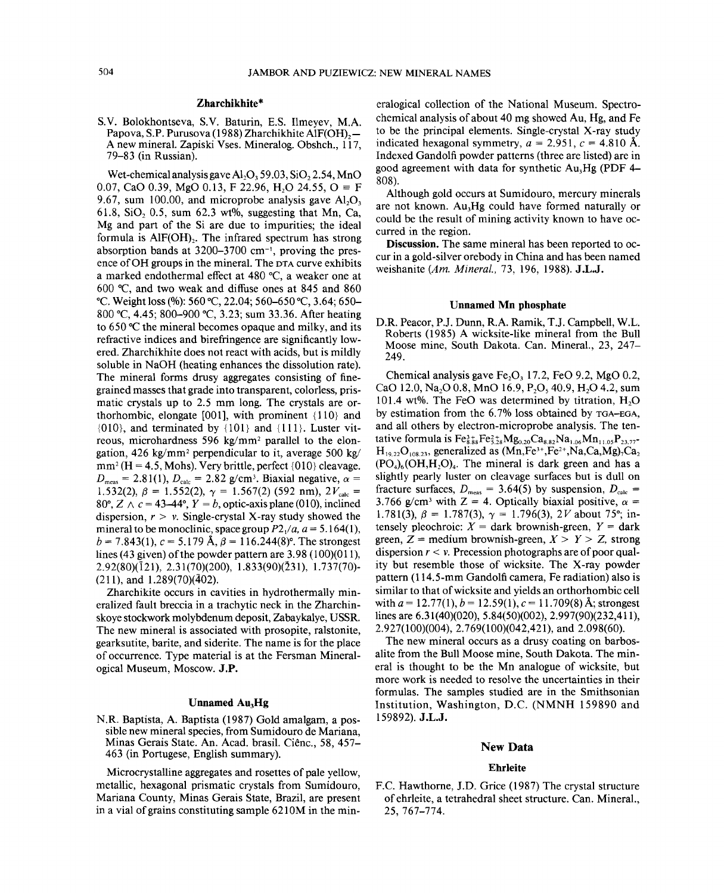## Zharchikhite\*

S.V. Bolokhontseva, S.V. Baturin, E.S. Ilmeyev, M.A. Papova, S.P. Purusova (1988) Zharchikhite AlF(OH)<sub>2</sub>-A new mineral. Zapiski Vses. Mineralog. Obshch., 117, 79-83 (in Russian).

Wet-chemical analysis gave  $Al_2O_3$  59.03, SiO<sub>2</sub> 2.54, MnO 0.07, CaO 0.39, MgO 0.13, F 22.96, H<sub>2</sub>O 24.55, O  $\equiv$  F 9.67, sum 100.00, and microprobe analysis gave  $AI<sub>2</sub>O<sub>3</sub>$ 61.8, SiO<sub>2</sub> 0.5, sum 62.3 wt%, suggesting that Mn, Ca, Mg and part of the Si are due to impurities; the ideal formula is  $AIF(OH)$ . The infrared spectrum has strong absorption bands at  $3200-3700$  cm<sup>-1</sup>, proving the presence of OH groups in the mineral. The DTA curve exhibits a marked endothermal effect at 480°C, a weaker one at 600 °C, and two weak and diffuse ones at 845 and 860 °C. Weight loss (%): 560 °C, 22.04; 560–650 °C, 3.64; 650– 800 °C, 4.45; 800–900 °C, 3.23; sum 33.36. After heating to 650°C the mineral becomes opaque and milky, and its refractive indices and birefringence are significantly lowered. Zharchikhite does not react with acids, but is mildly soluble in NaOH (heating enhances the dissolution rate). The mineral forms drusy aggregates consisting of finegrained masses that grade into transparent, colorless, prismatic crystals up to 2.5 mm long. The crystals are orthorhombic, elongate [001], with prominent {l10} and  ${010}$ , and terminated by  ${101}$  and  ${111}$ . Luster vitreous, microhardness 596 kg/mm2 parallel to the elongation,  $426 \text{ kg/mm}^2$  perpendicular to it, average 500 kg/  $mm^2$  (H = 4.5, Mohs). Very brittle, perfect  $\{010\}$  cleavage.  $D_{\text{meas}} = 2.81(1), D_{\text{calc}} = 2.82$  g/cm<sup>3</sup>. Biaxial negative,  $\alpha =$ 1.532(2),  $\beta = 1.552(2)$ ,  $\gamma = 1.567(2)$  (592 nm),  $2V_{\text{calc}} =$ 80°,  $Z \wedge c = 43-44$ °,  $Y = b$ , optic-axis plane (010), inclined dispersion,  $r > v$ . Single-crystal X-ray study showed the mineral to be monoclinic, space group  $P2/4$ ,  $a = 5.164(1)$ ,  $b = 7.843(1)$ ,  $c = 5.179$  Å,  $\beta = 116.244(8)$ °. The strongest lines (43 given) of the powder pattern are  $3.98$  (100)(011). 2.92(80)(121), 2.31(70)(200), 1.833(90)(231), 1.737(70)-  $(211)$ , and  $1.289(70)(\overline{4}02)$ .

Zharchikite occurs in cavities in hydrothermally mineralized fault breccia in a trachytic neck in the Zharchinskoye stockwork molybdenum deposit, Zabaykalye, USSR. The new mineral is associated with prosopite, ralstonite, gearksutite, barite, and siderite. The name is for the place of occurrence. Type material is at the Fersman Mineralogical Museum, Moscow. J.P.

### Unnamed Au<sub>3</sub>Hg

N.R. Baptista, A. Baptista (1987) Gold amalgam, a possible new mineral species, from Sumidouro de Mariana Minas Gerais State. An. Acad. brasil. Ciênc., 58, 457-463 (in Portugese, English summary).

Microcrystalline aggregates and rosettes of pale yellow, metallic, hexagonal prismatic crystals from Sumidouro, Mariana County, Minas Gerais State, Brazil, are present in a vial of grains constituting sample 6210M in the mineralogical collection of the National Museum. Spectrochemical analysis of about 40 mg showed Au, Hg, and Fe to be the principal elements. Single-crystal X-ray study indicated hexagonal symmetry,  $a = 2.951$ ,  $c = 4.810$  Å. Indexed Gandolfi powder patterns (three are listed) are in good agreement with data for synthetic  $Au<sub>3</sub>Hg$  (PDF 4-808).

Although gold occurs at Sumidouro, mercury minerals are not known. Au<sub>3</sub>Hg could have formed naturally or could be the result of mining activity known to have occurred in the region.

Discussion. The same mineral has been reported to occur in a gold-silver orebody in China and has been named weishanite *(Am. Mineral.,* 73, 196, 1988). J.L.J.

# Unnamed Mn phosphate

D.R. Peacor, P.J. Dunn, R.A. Ramik, T.J. Campbell, W.L. Roberts (1985) A wicksite-like mineral from the Bull Moose mine, South Dakota. Can. Mineral., 23, 247- 249.

Chemical analysis gave Fe $\Omega$ , 17.2, FeO 9.2, MgO 0.2, CaO 12.0, Na<sub>2</sub>O 0.8, MnO 16.9, P<sub>2</sub>O<sub>3</sub> 40.9, H<sub>2</sub>O 4.2, sum 101.4 wt%. The FeO was determined by titration,  $H_2O$ by estimation from the 6.7% loss obtained by TGA-EGA, and all others by electron-microprobe analysis. The tentative formula is  $Fe_{8.88}^{3+}Fe_{5.28}^{2+}Mg_{0.20}Ca_{8.82}Na_{1.06}Mn_{11.05}P_{23.77}$  $H_{19.22}O_{108.23}$ , generalized as  $(Mn,Fe^{3+},Fe^{2+},Na,Ca,Mg)_{7}Ca_{2}$  $(PO<sub>4</sub>)<sub>6</sub>(OH,H<sub>2</sub>O)<sub>4</sub>$ . The mineral is dark green and has a slightly pearly luster on cleavage surfaces but is dull on fracture surfaces,  $D_{\text{meas}}= 3.64(5)$  by suspension,  $D_{\text{calc}}=$ 3.766 g/cm<sup>3</sup> with Z = 4. Optically biaxial positive,  $\alpha$  = 1.781(3),  $\beta = 1.787(3)$ ,  $\gamma = 1.796(3)$ , 2V about 75°; intensely pleochroic:  $X =$  dark brownish-green,  $Y =$  dark green,  $Z =$  medium brownish-green,  $X > Y > Z$ , strong dispersion *r* < v. Precession photographs are of poor quality but resemble those of wicksite. The X-ray powder pattern (114.5-mm Gandolfi camera, Fe radiation) also is similar to that of wick site and yields an orthorhombic cell with  $a = 12.77(1)$ ,  $b = 12.59(1)$ ,  $c = 11.709(8)$  Å; strongest lines are 6.31(40)(020), 5.84(50)(002), 2.997(90)(232,411), 2.927(100)(004),2.769(100)(042,421), and 2.098(60).

The new mineral occurs as a drusy coating on barbosalite from the Bull Moose mine, South Dakota. The mineral is thought to be the Mn analogue of wicksite, but more work is needed to resolve the uncertainties in their formulas. The samples studied are in the Smithsonian Institution, Washington, D.C. (NMNH 159890 and 159892). J.L.J.

#### New Data

#### Ehrleite

F.C. Hawthorne, J.D. Grice (1987) The crystal structure of ehrleite, a tetrahedral sheet structure. Can. Mineral., 25, 767-774.